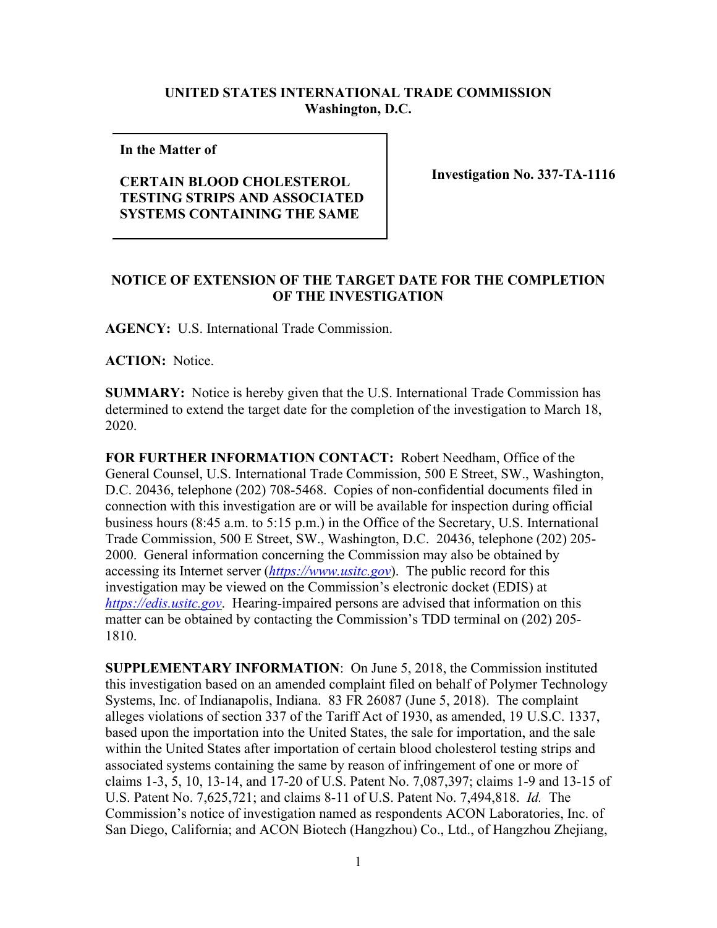## **UNITED STATES INTERNATIONAL TRADE COMMISSION Washington, D.C.**

**In the Matter of** 

## **CERTAIN BLOOD CHOLESTEROL TESTING STRIPS AND ASSOCIATED SYSTEMS CONTAINING THE SAME**

**Investigation No. 337-TA-1116**

## **NOTICE OF EXTENSION OF THE TARGET DATE FOR THE COMPLETION OF THE INVESTIGATION**

**AGENCY:** U.S. International Trade Commission.

**ACTION:** Notice.

**SUMMARY:** Notice is hereby given that the U.S. International Trade Commission has determined to extend the target date for the completion of the investigation to March 18, 2020.

**FOR FURTHER INFORMATION CONTACT:** Robert Needham, Office of the General Counsel, U.S. International Trade Commission, 500 E Street, SW., Washington, D.C. 20436, telephone (202) 708-5468. Copies of non-confidential documents filed in connection with this investigation are or will be available for inspection during official business hours (8:45 a.m. to 5:15 p.m.) in the Office of the Secretary, U.S. International Trade Commission, 500 E Street, SW., Washington, D.C. 20436, telephone (202) 205- 2000. General information concerning the Commission may also be obtained by accessing its Internet server (*[https://www.usitc.gov](https://www.usitc.gov/)*). The public record for this investigation may be viewed on the Commission's electronic docket (EDIS) at *[https://edis.usitc.gov](https://edis.usitc.gov/)*. Hearing-impaired persons are advised that information on this matter can be obtained by contacting the Commission's TDD terminal on (202) 205- 1810.

**SUPPLEMENTARY INFORMATION**: On June 5, 2018, the Commission instituted this investigation based on an amended complaint filed on behalf of Polymer Technology Systems, Inc. of Indianapolis, Indiana. 83 FR 26087 (June 5, 2018). The complaint alleges violations of section 337 of the Tariff Act of 1930, as amended, 19 U.S.C. 1337, based upon the importation into the United States, the sale for importation, and the sale within the United States after importation of certain blood cholesterol testing strips and associated systems containing the same by reason of infringement of one or more of claims 1-3, 5, 10, 13-14, and 17-20 of U.S. Patent No. 7,087,397; claims 1-9 and 13-15 of U.S. Patent No. 7,625,721; and claims 8-11 of U.S. Patent No. 7,494,818. *Id.* The Commission's notice of investigation named as respondents ACON Laboratories, Inc. of San Diego, California; and ACON Biotech (Hangzhou) Co., Ltd., of Hangzhou Zhejiang,